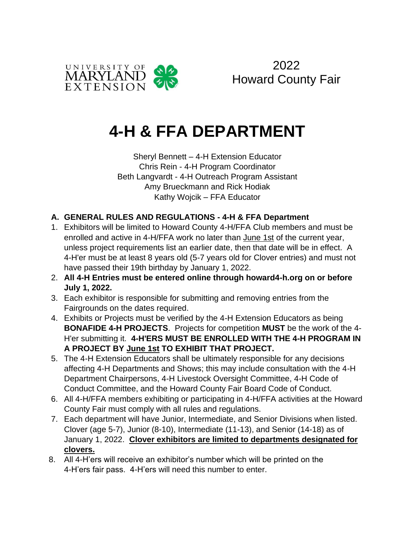



# **4-H & FFA DEPARTMENT**

Sheryl Bennett – 4-H Extension Educator Chris Rein - 4-H Program Coordinator Beth Langvardt - 4-H Outreach Program Assistant Amy Brueckmann and Rick Hodiak Kathy Wojcik – FFA Educator

### **A. GENERAL RULES AND REGULATIONS - 4-H & FFA Department**

- 1. Exhibitors will be limited to Howard County 4-H/FFA Club members and must be enrolled and active in 4-H/FFA work no later than June 1st of the current year, unless project requirements list an earlier date, then that date will be in effect. A 4-H'er must be at least 8 years old (5-7 years old for Clover entries) and must not have passed their 19th birthday by January 1, 2022.
- 2. **All 4-H Entries must be entered online through howard4-h.org on or before July 1, 2022.**
- 3. Each exhibitor is responsible for submitting and removing entries from the Fairgrounds on the dates required.
- 4. Exhibits or Projects must be verified by the 4-H Extension Educators as being **BONAFIDE 4-H PROJECTS**. Projects for competition **MUST** be the work of the 4- H'er submitting it. **4-H'ERS MUST BE ENROLLED WITH THE 4-H PROGRAM IN A PROJECT BY June 1st TO EXHIBIT THAT PROJECT.**
- 5. The 4-H Extension Educators shall be ultimately responsible for any decisions affecting 4-H Departments and Shows; this may include consultation with the 4-H Department Chairpersons, 4-H Livestock Oversight Committee, 4-H Code of Conduct Committee, and the Howard County Fair Board Code of Conduct.
- 6. All 4-H/FFA members exhibiting or participating in 4-H/FFA activities at the Howard County Fair must comply with all rules and regulations.
- 7. Each department will have Junior, Intermediate, and Senior Divisions when listed. Clover (age 5-7), Junior (8-10), Intermediate (11-13), and Senior (14-18) as of January 1, 2022. **Clover exhibitors are limited to departments designated for clovers.**
- 8. All 4-H'ers will receive an exhibitor's number which will be printed on the 4-H'ers fair pass. 4-H'ers will need this number to enter.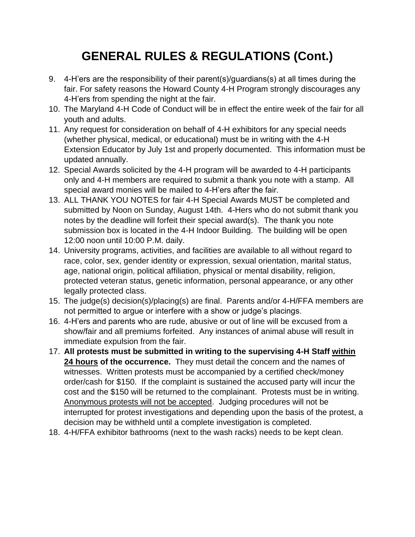## **GENERAL RULES & REGULATIONS (Cont.)**

- 9. 4-H'ers are the responsibility of their parent(s)/guardians(s) at all times during the fair. For safety reasons the Howard County 4-H Program strongly discourages any 4-H'ers from spending the night at the fair.
- 10. The Maryland 4-H Code of Conduct will be in effect the entire week of the fair for all youth and adults.
- 11. Any request for consideration on behalf of 4-H exhibitors for any special needs (whether physical, medical, or educational) must be in writing with the 4-H Extension Educator by July 1st and properly documented. This information must be updated annually.
- 12. Special Awards solicited by the 4-H program will be awarded to 4-H participants only and 4-H members are required to submit a thank you note with a stamp. All special award monies will be mailed to 4-H'ers after the fair.
- 13. ALL THANK YOU NOTES for fair 4-H Special Awards MUST be completed and submitted by Noon on Sunday, August 14th. 4-Hers who do not submit thank you notes by the deadline will forfeit their special award(s). The thank you note submission box is located in the 4-H Indoor Building. The building will be open 12:00 noon until 10:00 P.M. daily.
- 14. University programs, activities, and facilities are available to all without regard to race, color, sex, gender identity or expression, sexual orientation, marital status, age, national origin, political affiliation, physical or mental disability, religion, protected veteran status, genetic information, personal appearance, or any other legally protected class.
- 15. The judge(s) decision(s)/placing(s) are final. Parents and/or 4-H/FFA members are not permitted to argue or interfere with a show or judge's placings.
- 16. 4-H'ers and parents who are rude, abusive or out of line will be excused from a show/fair and all premiums forfeited. Any instances of animal abuse will result in immediate expulsion from the fair.
- 17. **All protests must be submitted in writing to the supervising 4-H Staff within 24 hours of the occurrence.** They must detail the concern and the names of witnesses. Written protests must be accompanied by a certified check/money order/cash for \$150. If the complaint is sustained the accused party will incur the cost and the \$150 will be returned to the complainant. Protests must be in writing. Anonymous protests will not be accepted. Judging procedures will not be interrupted for protest investigations and depending upon the basis of the protest, a decision may be withheld until a complete investigation is completed.
- 18. 4-H/FFA exhibitor bathrooms (next to the wash racks) needs to be kept clean.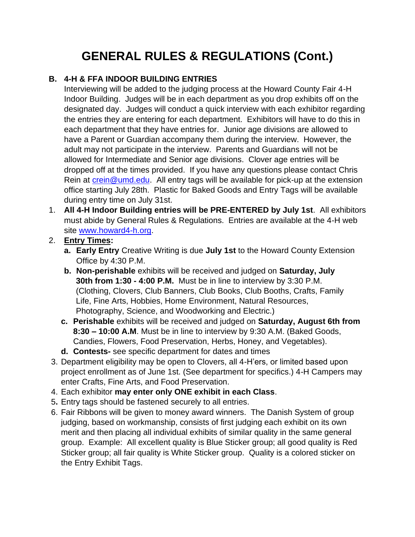## **GENERAL RULES & REGULATIONS (Cont.)**

### **B. 4-H & FFA INDOOR BUILDING ENTRIES**

Interviewing will be added to the judging process at the Howard County Fair 4-H Indoor Building. Judges will be in each department as you drop exhibits off on the designated day. Judges will conduct a quick interview with each exhibitor regarding the entries they are entering for each department. Exhibitors will have to do this in each department that they have entries for. Junior age divisions are allowed to have a Parent or Guardian accompany them during the interview. However, the adult may not participate in the interview. Parents and Guardians will not be allowed for Intermediate and Senior age divisions. Clover age entries will be dropped off at the times provided. If you have any questions please contact Chris Rein at [crein@umd.edu.](mailto:crein@umd.edu) All entry tags will be available for pick-up at the extension office starting July 28th. Plastic for Baked Goods and Entry Tags will be available during entry time on July 31st.

- 1. **All 4-H Indoor Building entries will be PRE-ENTERED by July 1st**. All exhibitors must abide by General Rules & Regulations. Entries are available at the 4-H web site [www.howard4-h.org.](http://www.howard4-h.org/)
- 2. **Entry Times:** 
	- **a. Early Entry** Creative Writing is due **July 1st** to the Howard County Extension Office by 4:30 P.M.
	- **b. Non-perishable** exhibits will be received and judged on **Saturday, July 30th from 1:30 - 4:00 P.M.** Must be in line to interview by 3:30 P.M. (Clothing, Clovers, Club Banners, Club Books, Club Booths, Crafts, Family Life, Fine Arts, Hobbies, Home Environment, Natural Resources, Photography, Science, and Woodworking and Electric.)
	- **c. Perishable** exhibits will be received and judged on **Saturday, August 6th from 8:30 – 10:00 A.M**. Must be in line to interview by 9:30 A.M. (Baked Goods, Candies, Flowers, Food Preservation, Herbs, Honey, and Vegetables).
	- **d. Contests-** see specific department for dates and times
- 3. Department eligibility may be open to Clovers, all 4-H'ers, or limited based upon project enrollment as of June 1st. (See department for specifics.) 4-H Campers may enter Crafts, Fine Arts, and Food Preservation.
- 4. Each exhibitor **may enter only ONE exhibit in each Class**.
- 5**.** Entry tags should be fastened securely to all entries.
- 6. Fair Ribbons will be given to money award winners. The Danish System of group judging, based on workmanship, consists of first judging each exhibit on its own merit and then placing all individual exhibits of similar quality in the same general group. Example: All excellent quality is Blue Sticker group; all good quality is Red Sticker group; all fair quality is White Sticker group. Quality is a colored sticker on the Entry Exhibit Tags.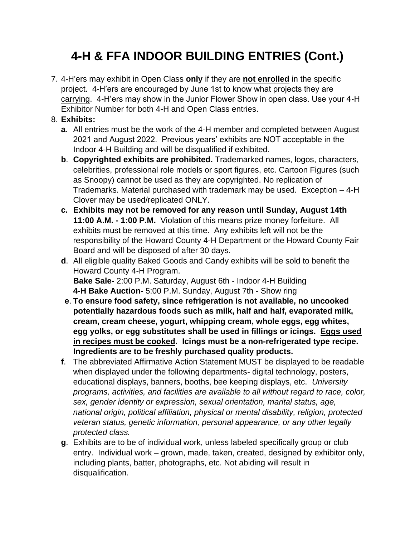## **4-H & FFA INDOOR BUILDING ENTRIES (Cont.)**

7. 4-H'ers may exhibit in Open Class **only** if they are **not enrolled** in the specific project. 4-H'ers are encouraged by June 1st to know what projects they are carrying. 4-H'ers may show in the Junior Flower Show in open class. Use your 4-H Exhibitor Number for both 4-H and Open Class entries.

### 8. **Exhibits:**

- **a**. All entries must be the work of the 4-H member and completed between August 2021 and August 2022. Previous years' exhibits are NOT acceptable in the Indoor 4-H Building and will be disqualified if exhibited.
- **b**. **Copyrighted exhibits are prohibited.** Trademarked names, logos, characters, celebrities, professional role models or sport figures, etc. Cartoon Figures (such as Snoopy) cannot be used as they are copyrighted. No replication of Trademarks. Material purchased with trademark may be used. Exception – 4-H Clover may be used/replicated ONLY.
- **c. Exhibits may not be removed for any reason until Sunday, August 14th 11:00 A.M. - 1:00 P.M.** Violation of this means prize money forfeiture. All exhibits must be removed at this time. Any exhibits left will not be the responsibility of the Howard County 4-H Department or the Howard County Fair Board and will be disposed of after 30 days.
- **d**. All eligible quality Baked Goods and Candy exhibits will be sold to benefit the Howard County 4-H Program. **Bake Sale-** 2:00 P.M. Saturday, August 6th - Indoor 4-H Building **4-H Bake Auction-** 5:00 P.M. Sunday, August 7th - Show ring
- **e**. **To ensure food safety, since refrigeration is not available, no uncooked potentially hazardous foods such as milk, half and half, evaporated milk, cream, cream cheese, yogurt, whipping cream, whole eggs, egg whites, egg yolks, or egg substitutes shall be used in fillings or icings. Eggs used in recipes must be cooked. Icings must be a non-refrigerated type recipe. Ingredients are to be freshly purchased quality products.**
- **f**. The abbreviated Affirmative Action Statement MUST be displayed to be readable when displayed under the following departments- digital technology, posters, educational displays, banners, booths, bee keeping displays, etc. *University programs, activities, and facilities are available to all without regard to race, color, sex, gender identity or expression, sexual orientation, marital status, age, national origin, political affiliation, physical or mental disability, religion, protected veteran status, genetic information, personal appearance, or any other legally protected class.*
- **g**. Exhibits are to be of individual work, unless labeled specifically group or club entry. Individual work – grown, made, taken, created, designed by exhibitor only, including plants, batter, photographs, etc. Not abiding will result in disqualification.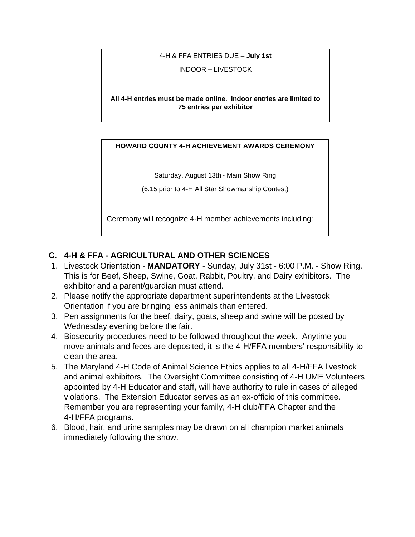#### 4-H & FFA ENTRIES DUE – **July 1st**

INDOOR – LIVESTOCK

**All 4-H entries must be made online. Indoor entries are limited to 75 entries per exhibitor**

#### 4-H entries online at **www.howard4-h.org HOWARD COUNTY 4-H ACHIEVEMENT AWARDS CEREMONY**

Saturday, August 13th - Main Show Ring

(6:15 prior to 4-H All Star Showmanship Contest)

Ceremony will recognize 4-H member achievements including:

#### **C. 4-H & FFA - AGRICULTURAL AND OTHER SCIENCES** 2021 Record Book Awards 4-H Graduate Recognition

- 1. Livestock Orientation **MANDATORY** Sunday, July 31st 6:00 P.M. Show Ring. This is for Beef, Sheep, Swine, Goat, Rabbit, Poultry, and Dairy exhibitors. The exhibitor and a parent/guardian must attend.
- 2. Please notify the appropriate department superintendents at the Livestock Orientation if you are bringing less animals than entered.
- 3. Pen assignments for the beef, dairy, goats, sheep and swine will be posted by Wednesday evening before the fair.
- 4, Biosecurity procedures need to be followed throughout the week. Anytime you move animals and feces are deposited, it is the 4-H/FFA members' responsibility to clean the area.
- 5. The Maryland 4-H Code of Animal Science Ethics applies to all 4-H/FFA livestock and animal exhibitors. The Oversight Committee consisting of 4-H UME Volunteers appointed by 4-H Educator and staff, will have authority to rule in cases of alleged violations. The Extension Educator serves as an ex-officio of this committee. Remember you are representing your family, 4-H club/FFA Chapter and the 4-H/FFA programs.
- 6. Blood, hair, and urine samples may be drawn on all champion market animals immediately following the show.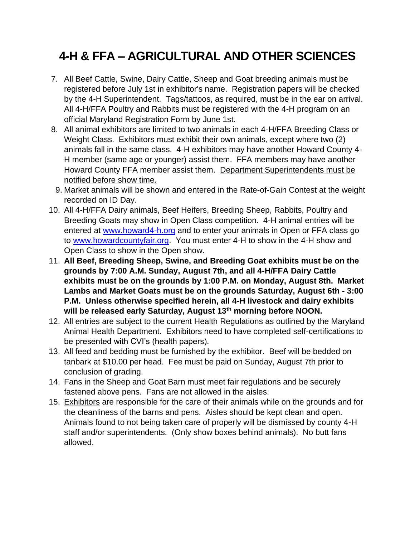## **4-H & FFA – AGRICULTURAL AND OTHER SCIENCES**

- 7. All Beef Cattle, Swine, Dairy Cattle, Sheep and Goat breeding animals must be registered before July 1st in exhibitor's name. Registration papers will be checked by the 4-H Superintendent. Tags/tattoos, as required, must be in the ear on arrival. All 4-H/FFA Poultry and Rabbits must be registered with the 4-H program on an official Maryland Registration Form by June 1st.
- 8. All animal exhibitors are limited to two animals in each 4-H/FFA Breeding Class or Weight Class. Exhibitors must exhibit their own animals, except where two (2) animals fall in the same class. 4-H exhibitors may have another Howard County 4- H member (same age or younger) assist them. FFA members may have another Howard County FFA member assist them. Department Superintendents must be notified before show time.
- 9. Market animals will be shown and entered in the Rate-of-Gain Contest at the weight recorded on ID Day.
- 10. All 4-H/FFA Dairy animals, Beef Heifers, Breeding Sheep, Rabbits, Poultry and Breeding Goats may show in Open Class competition. 4-H animal entries will be entered at [www.howard4-h.org](http://www.howard4-h.org/) and to enter your animals in Open or FFA class go to [www.howardcountyfair.org.](http://www.howardcountyfair.org/) You must enter 4-H to show in the 4-H show and Open Class to show in the Open show.
- 11. **All Beef, Breeding Sheep, Swine, and Breeding Goat exhibits must be on the grounds by 7:00 A.M. Sunday, August 7th, and all 4-H/FFA Dairy Cattle exhibits must be on the grounds by 1:00 P.M. on Monday, August 8th. Market Lambs and Market Goats must be on the grounds Saturday, August 6th - 3:00 P.M. Unless otherwise specified herein, all 4-H livestock and dairy exhibits will be released early Saturday, August 13th morning before NOON.**
- 12. All entries are subject to the current Health Regulations as outlined by the Maryland Animal Health Department. Exhibitors need to have completed self-certifications to be presented with CVI's (health papers).
- 13. All feed and bedding must be furnished by the exhibitor. Beef will be bedded on tanbark at \$10.00 per head. Fee must be paid on Sunday, August 7th prior to conclusion of grading.
- 14. Fans in the Sheep and Goat Barn must meet fair regulations and be securely fastened above pens. Fans are not allowed in the aisles.
- 15. Exhibitors are responsible for the care of their animals while on the grounds and for the cleanliness of the barns and pens. Aisles should be kept clean and open. Animals found to not being taken care of properly will be dismissed by county 4-H staff and/or superintendents. (Only show boxes behind animals). No butt fans allowed.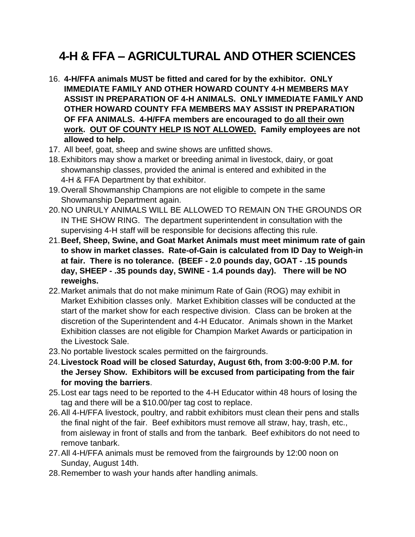## **4-H & FFA – AGRICULTURAL AND OTHER SCIENCES**

- 16. **4-H/FFA animals MUST be fitted and cared for by the exhibitor. ONLY IMMEDIATE FAMILY AND OTHER HOWARD COUNTY 4-H MEMBERS MAY ASSIST IN PREPARATION OF 4-H ANIMALS. ONLY IMMEDIATE FAMILY AND OTHER HOWARD COUNTY FFA MEMBERS MAY ASSIST IN PREPARATION OF FFA ANIMALS. 4-H/FFA members are encouraged to do all their own work. OUT OF COUNTY HELP IS NOT ALLOWED. Family employees are not allowed to help.**
- 17. All beef, goat, sheep and swine shows are unfitted shows.
- 18.Exhibitors may show a market or breeding animal in livestock, dairy, or goat showmanship classes, provided the animal is entered and exhibited in the 4-H & FFA Department by that exhibitor.
- 19.Overall Showmanship Champions are not eligible to compete in the same Showmanship Department again.
- 20.NO UNRULY ANIMALS WILL BE ALLOWED TO REMAIN ON THE GROUNDS OR IN THE SHOW RING. The department superintendent in consultation with the supervising 4-H staff will be responsible for decisions affecting this rule.
- 21.**Beef, Sheep, Swine, and Goat Market Animals must meet minimum rate of gain to show in market classes. Rate-of-Gain is calculated from ID Day to Weigh-in at fair. There is no tolerance. (BEEF - 2.0 pounds day, GOAT - .15 pounds day, SHEEP - .35 pounds day, SWINE - 1.4 pounds day). There will be NO reweighs.**
- 22.Market animals that do not make minimum Rate of Gain (ROG) may exhibit in Market Exhibition classes only. Market Exhibition classes will be conducted at the start of the market show for each respective division. Class can be broken at the discretion of the Superintendent and 4-H Educator. Animals shown in the Market Exhibition classes are not eligible for Champion Market Awards or participation in the Livestock Sale.
- 23.No portable livestock scales permitted on the fairgrounds.
- 24.**Livestock Road will be closed Saturday, August 6th, from 3:00-9:00 P.M. for the Jersey Show. Exhibitors will be excused from participating from the fair for moving the barriers**.
- 25.Lost ear tags need to be reported to the 4-H Educator within 48 hours of losing the tag and there will be a \$10.00/per tag cost to replace.
- 26.All 4-H/FFA livestock, poultry, and rabbit exhibitors must clean their pens and stalls the final night of the fair. Beef exhibitors must remove all straw, hay, trash, etc., from aisleway in front of stalls and from the tanbark. Beef exhibitors do not need to remove tanbark.
- 27.All 4-H/FFA animals must be removed from the fairgrounds by 12:00 noon on Sunday, August 14th.
- 28.Remember to wash your hands after handling animals.